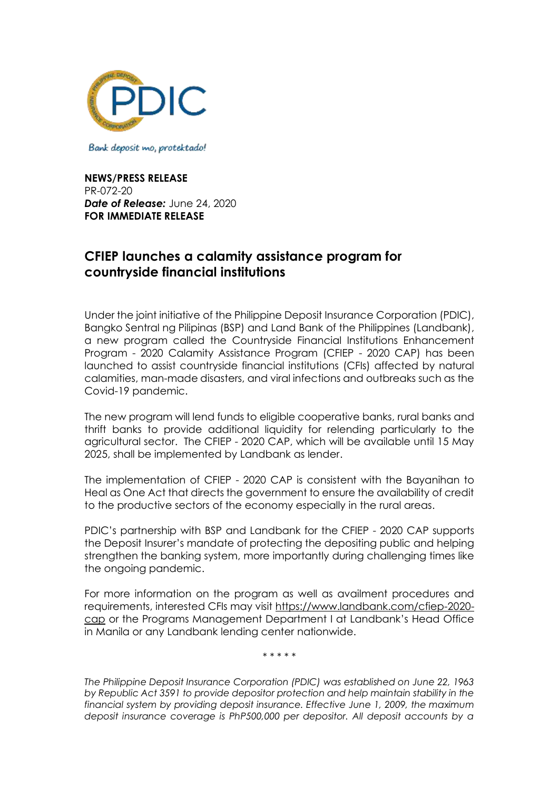

Bank deposit mo, protektado!

**NEWS/PRESS RELEASE** PR-072-20 *Date of Release:* June 24, 2020 **FOR IMMEDIATE RELEASE**

## **CFIEP launches a calamity assistance program for countryside financial institutions**

Under the joint initiative of the Philippine Deposit Insurance Corporation (PDIC), Bangko Sentral ng Pilipinas (BSP) and Land Bank of the Philippines (Landbank), a new program called the Countryside Financial Institutions Enhancement Program - 2020 Calamity Assistance Program (CFIEP - 2020 CAP) has been launched to assist countryside financial institutions (CFIs) affected by natural calamities, man-made disasters, and viral infections and outbreaks such as the Covid-19 pandemic.

The new program will lend funds to eligible cooperative banks, rural banks and thrift banks to provide additional liquidity for relending particularly to the agricultural sector. The CFIEP - 2020 CAP, which will be available until 15 May 2025, shall be implemented by Landbank as lender.

The implementation of CFIEP - 2020 CAP is consistent with the Bayanihan to Heal as One Act that directs the government to ensure the availability of credit to the productive sectors of the economy especially in the rural areas.

PDIC's partnership with BSP and Landbank for the CFIEP - 2020 CAP supports the Deposit Insurer's mandate of protecting the depositing public and helping strengthen the banking system, more importantly during challenging times like the ongoing pandemic.

For more information on the program as well as availment procedures and requirements, interested CFIs may visit [https://www.landbank.com/cfiep-2020](https://www.landbank.com/cfiep-2020-cap) [cap](https://www.landbank.com/cfiep-2020-cap) or the Programs Management Department I at Landbank's Head Office in Manila or any Landbank lending center nationwide.

*\* \* \* \* \**

*The Philippine Deposit Insurance Corporation (PDIC) was established on June 22, 1963 by Republic Act 3591 to provide depositor protection and help maintain stability in the financial system by providing deposit insurance. Effective June 1, 2009, the maximum deposit insurance coverage is PhP500,000 per depositor. All deposit accounts by a*